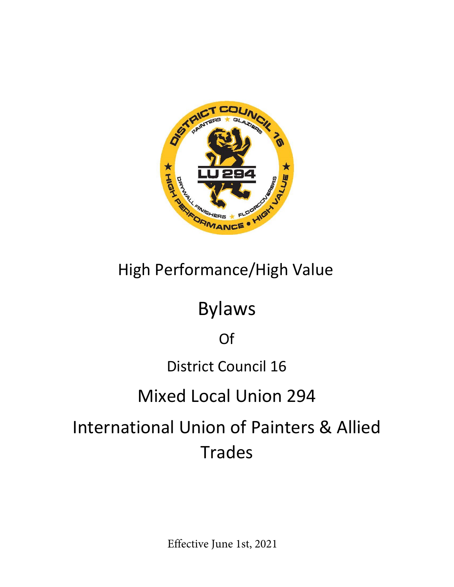

# High Performance/High Value

# Bylaws

## Of

### District Council 16

## Mixed Local Union 294

# International Union of Painters & Allied Trades

Effective June 1st, 2021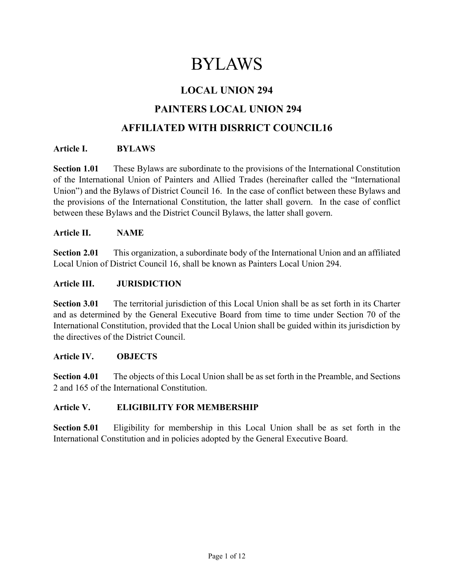## BYLAWS

### **LOCAL UNION 294**

### **PAINTERS LOCAL UNION 294**

### **AFFILIATED WITH DISRRICT COUNCIL16**

#### **Article I. BYLAWS**

**Section 1.01** These Bylaws are subordinate to the provisions of the International Constitution of the International Union of Painters and Allied Trades (hereinafter called the "International Union") and the Bylaws of District Council 16. In the case of conflict between these Bylaws and the provisions of the International Constitution, the latter shall govern. In the case of conflict between these Bylaws and the District Council Bylaws, the latter shall govern.

#### **Article II. NAME**

**Section 2.01** This organization, a subordinate body of the International Union and an affiliated Local Union of District Council 16, shall be known as Painters Local Union 294.

#### **Article III. JURISDICTION**

**Section 3.01** The territorial jurisdiction of this Local Union shall be as set forth in its Charter and as determined by the General Executive Board from time to time under Section 70 of the International Constitution, provided that the Local Union shall be guided within its jurisdiction by the directives of the District Council.

#### **Article IV. OBJECTS**

**Section 4.01** The objects of this Local Union shall be as set forth in the Preamble, and Sections 2 and 165 of the International Constitution.

#### **Article V. ELIGIBILITY FOR MEMBERSHIP**

**Section 5.01** Eligibility for membership in this Local Union shall be as set forth in the International Constitution and in policies adopted by the General Executive Board.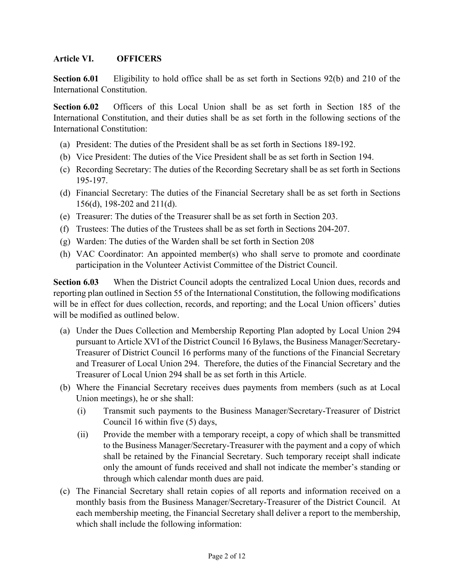#### **Article VI. OFFICERS**

**Section 6.01** Eligibility to hold office shall be as set forth in Sections 92(b) and 210 of the International Constitution.

**Section 6.02** Officers of this Local Union shall be as set forth in Section 185 of the International Constitution, and their duties shall be as set forth in the following sections of the International Constitution:

- (a) President: The duties of the President shall be as set forth in Sections 189-192.
- (b) Vice President: The duties of the Vice President shall be as set forth in Section 194.
- (c) Recording Secretary: The duties of the Recording Secretary shall be as set forth in Sections 195-197.
- (d) Financial Secretary: The duties of the Financial Secretary shall be as set forth in Sections 156(d), 198-202 and 211(d).
- (e) Treasurer: The duties of the Treasurer shall be as set forth in Section 203.
- (f) Trustees: The duties of the Trustees shall be as set forth in Sections 204-207.
- (g) Warden: The duties of the Warden shall be set forth in Section 208
- (h) VAC Coordinator: An appointed member(s) who shall serve to promote and coordinate participation in the Volunteer Activist Committee of the District Council.

**Section 6.03** When the District Council adopts the centralized Local Union dues, records and reporting plan outlined in Section 55 of the International Constitution, the following modifications will be in effect for dues collection, records, and reporting; and the Local Union officers' duties will be modified as outlined below.

- (a) Under the Dues Collection and Membership Reporting Plan adopted by Local Union 294 pursuant to Article XVI of the District Council 16 Bylaws, the Business Manager/Secretary-Treasurer of District Council 16 performs many of the functions of the Financial Secretary and Treasurer of Local Union 294. Therefore, the duties of the Financial Secretary and the Treasurer of Local Union 294 shall be as set forth in this Article.
- (b) Where the Financial Secretary receives dues payments from members (such as at Local Union meetings), he or she shall:
	- (i) Transmit such payments to the Business Manager/Secretary-Treasurer of District Council 16 within five (5) days,
	- (ii) Provide the member with a temporary receipt, a copy of which shall be transmitted to the Business Manager/Secretary-Treasurer with the payment and a copy of which shall be retained by the Financial Secretary. Such temporary receipt shall indicate only the amount of funds received and shall not indicate the member's standing or through which calendar month dues are paid.
- (c) The Financial Secretary shall retain copies of all reports and information received on a monthly basis from the Business Manager/Secretary-Treasurer of the District Council. At each membership meeting, the Financial Secretary shall deliver a report to the membership, which shall include the following information: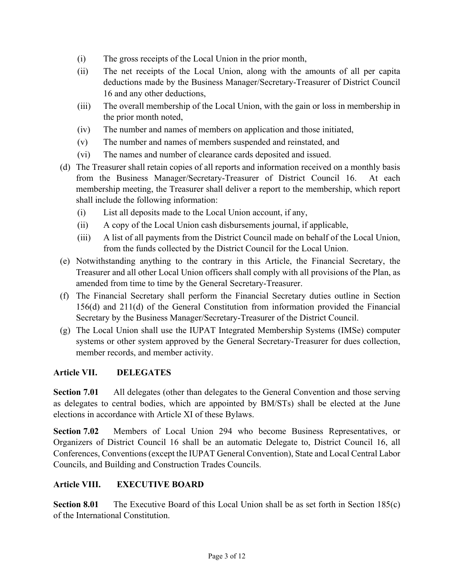- (i) The gross receipts of the Local Union in the prior month,
- (ii) The net receipts of the Local Union, along with the amounts of all per capita deductions made by the Business Manager/Secretary-Treasurer of District Council 16 and any other deductions,
- (iii) The overall membership of the Local Union, with the gain or loss in membership in the prior month noted,
- (iv) The number and names of members on application and those initiated,
- (v) The number and names of members suspended and reinstated, and
- (vi) The names and number of clearance cards deposited and issued.
- (d) The Treasurer shall retain copies of all reports and information received on a monthly basis from the Business Manager/Secretary-Treasurer of District Council 16. At each membership meeting, the Treasurer shall deliver a report to the membership, which report shall include the following information:
	- (i) List all deposits made to the Local Union account, if any,
	- (ii) A copy of the Local Union cash disbursements journal, if applicable,
	- (iii) A list of all payments from the District Council made on behalf of the Local Union, from the funds collected by the District Council for the Local Union.
- (e) Notwithstanding anything to the contrary in this Article, the Financial Secretary, the Treasurer and all other Local Union officers shall comply with all provisions of the Plan, as amended from time to time by the General Secretary-Treasurer.
- (f) The Financial Secretary shall perform the Financial Secretary duties outline in Section 156(d) and 211(d) of the General Constitution from information provided the Financial Secretary by the Business Manager/Secretary-Treasurer of the District Council.
- (g) The Local Union shall use the IUPAT Integrated Membership Systems (IMSe) computer systems or other system approved by the General Secretary-Treasurer for dues collection, member records, and member activity.

#### **Article VII. DELEGATES**

**Section 7.01** All delegates (other than delegates to the General Convention and those serving as delegates to central bodies, which are appointed by BM/STs) shall be elected at the June elections in accordance with Article XI of these Bylaws.

**Section 7.02** Members of Local Union 294 who become Business Representatives, or Organizers of District Council 16 shall be an automatic Delegate to, District Council 16, all Conferences, Conventions (except the IUPAT General Convention), State and Local Central Labor Councils, and Building and Construction Trades Councils.

#### **Article VIII. EXECUTIVE BOARD**

**Section 8.01** The Executive Board of this Local Union shall be as set forth in Section 185(c) of the International Constitution.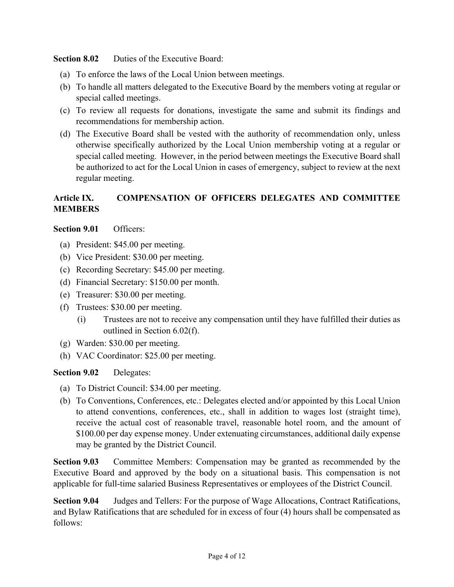**Section 8.02** Duties of the Executive Board:

- (a) To enforce the laws of the Local Union between meetings.
- (b) To handle all matters delegated to the Executive Board by the members voting at regular or special called meetings.
- (c) To review all requests for donations, investigate the same and submit its findings and recommendations for membership action.
- (d) The Executive Board shall be vested with the authority of recommendation only, unless otherwise specifically authorized by the Local Union membership voting at a regular or special called meeting. However, in the period between meetings the Executive Board shall be authorized to act for the Local Union in cases of emergency, subject to review at the next regular meeting.

#### **Article IX. COMPENSATION OF OFFICERS DELEGATES AND COMMITTEE MEMBERS**

**Section 9.01** Officers:

- (a) President: \$45.00 per meeting.
- (b) Vice President: \$30.00 per meeting.
- (c) Recording Secretary: \$45.00 per meeting.
- (d) Financial Secretary: \$150.00 per month.
- (e) Treasurer: \$30.00 per meeting.
- (f) Trustees: \$30.00 per meeting.
	- (i) Trustees are not to receive any compensation until they have fulfilled their duties as outlined in Section 6.02(f).
- (g) Warden: \$30.00 per meeting.
- (h) VAC Coordinator: \$25.00 per meeting.

#### **Section 9.02** Delegates:

- (a) To District Council: \$34.00 per meeting.
- (b) To Conventions, Conferences, etc.: Delegates elected and/or appointed by this Local Union to attend conventions, conferences, etc., shall in addition to wages lost (straight time), receive the actual cost of reasonable travel, reasonable hotel room, and the amount of \$100.00 per day expense money. Under extenuating circumstances, additional daily expense may be granted by the District Council.

**Section 9.03** Committee Members: Compensation may be granted as recommended by the Executive Board and approved by the body on a situational basis. This compensation is not applicable for full-time salaried Business Representatives or employees of the District Council.

**Section 9.04** Judges and Tellers: For the purpose of Wage Allocations, Contract Ratifications, and Bylaw Ratifications that are scheduled for in excess of four (4) hours shall be compensated as follows: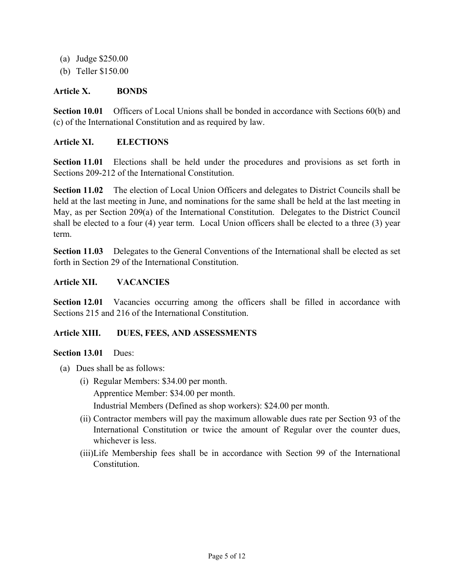- (a) Judge \$250.00
- (b) Teller \$150.00

#### **Article X. BONDS**

**Section 10.01** Officers of Local Unions shall be bonded in accordance with Sections 60(b) and (c) of the International Constitution and as required by law.

#### **Article XI. ELECTIONS**

**Section 11.01** Elections shall be held under the procedures and provisions as set forth in Sections 209-212 of the International Constitution.

**Section 11.02** The election of Local Union Officers and delegates to District Councils shall be held at the last meeting in June, and nominations for the same shall be held at the last meeting in May, as per Section 209(a) of the International Constitution. Delegates to the District Council shall be elected to a four (4) year term. Local Union officers shall be elected to a three (3) year term.

**Section 11.03** Delegates to the General Conventions of the International shall be elected as set forth in Section 29 of the International Constitution.

#### **Article XII. VACANCIES**

**Section 12.01** Vacancies occurring among the officers shall be filled in accordance with Sections 215 and 216 of the International Constitution.

#### **Article XIII. DUES, FEES, AND ASSESSMENTS**

#### **Section 13.01** Dues:

- (a) Dues shall be as follows:
	- (i) Regular Members: \$34.00 per month. Apprentice Member: \$34.00 per month.

Industrial Members (Defined as shop workers): \$24.00 per month.

- (ii) Contractor members will pay the maximum allowable dues rate per Section 93 of the International Constitution or twice the amount of Regular over the counter dues, whichever is less.
- (iii)Life Membership fees shall be in accordance with Section 99 of the International Constitution.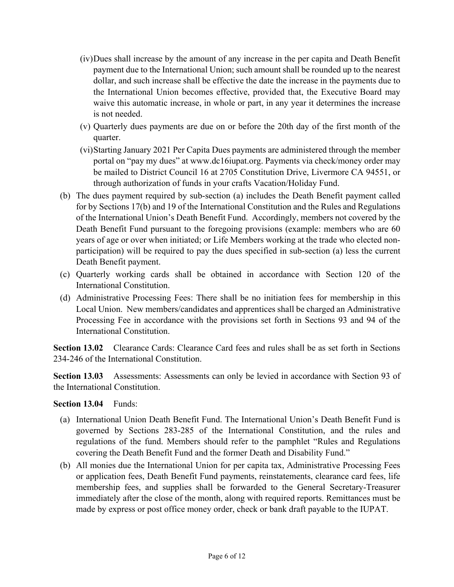- (iv)Dues shall increase by the amount of any increase in the per capita and Death Benefit payment due to the International Union; such amount shall be rounded up to the nearest dollar, and such increase shall be effective the date the increase in the payments due to the International Union becomes effective, provided that, the Executive Board may waive this automatic increase, in whole or part, in any year it determines the increase is not needed.
- (v) Quarterly dues payments are due on or before the 20th day of the first month of the quarter.
- (vi)Starting January 2021 Per Capita Dues payments are administered through the member portal on "pay my dues" at www.dc16iupat.org. Payments via check/money order may be mailed to District Council 16 at 2705 Constitution Drive, Livermore CA 94551, or through authorization of funds in your crafts Vacation/Holiday Fund.
- (b) The dues payment required by sub-section (a) includes the Death Benefit payment called for by Sections 17(b) and 19 of the International Constitution and the Rules and Regulations of the International Union's Death Benefit Fund. Accordingly, members not covered by the Death Benefit Fund pursuant to the foregoing provisions (example: members who are 60 years of age or over when initiated; or Life Members working at the trade who elected nonparticipation) will be required to pay the dues specified in sub-section (a) less the current Death Benefit payment.
- (c) Quarterly working cards shall be obtained in accordance with Section 120 of the International Constitution.
- (d) Administrative Processing Fees: There shall be no initiation fees for membership in this Local Union. New members/candidates and apprentices shall be charged an Administrative Processing Fee in accordance with the provisions set forth in Sections 93 and 94 of the International Constitution.

**Section 13.02** Clearance Cards: Clearance Card fees and rules shall be as set forth in Sections 234-246 of the International Constitution.

**Section 13.03** Assessments: Assessments can only be levied in accordance with Section 93 of the International Constitution.

**Section 13.04** Funds:

- (a) International Union Death Benefit Fund. The International Union's Death Benefit Fund is governed by Sections 283-285 of the International Constitution, and the rules and regulations of the fund. Members should refer to the pamphlet "Rules and Regulations covering the Death Benefit Fund and the former Death and Disability Fund."
- (b) All monies due the International Union for per capita tax, Administrative Processing Fees or application fees, Death Benefit Fund payments, reinstatements, clearance card fees, life membership fees, and supplies shall be forwarded to the General Secretary-Treasurer immediately after the close of the month, along with required reports. Remittances must be made by express or post office money order, check or bank draft payable to the IUPAT.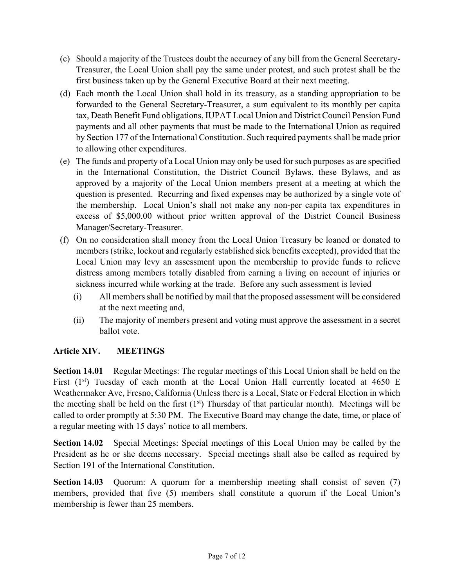- (c) Should a majority of the Trustees doubt the accuracy of any bill from the General Secretary-Treasurer, the Local Union shall pay the same under protest, and such protest shall be the first business taken up by the General Executive Board at their next meeting.
- (d) Each month the Local Union shall hold in its treasury, as a standing appropriation to be forwarded to the General Secretary-Treasurer, a sum equivalent to its monthly per capita tax, Death Benefit Fund obligations, IUPAT Local Union and District Council Pension Fund payments and all other payments that must be made to the International Union as required by Section 177 of the International Constitution. Such required payments shall be made prior to allowing other expenditures.
- (e) The funds and property of a Local Union may only be used for such purposes as are specified in the International Constitution, the District Council Bylaws, these Bylaws, and as approved by a majority of the Local Union members present at a meeting at which the question is presented. Recurring and fixed expenses may be authorized by a single vote of the membership. Local Union's shall not make any non-per capita tax expenditures in excess of \$5,000.00 without prior written approval of the District Council Business Manager/Secretary-Treasurer.
- (f) On no consideration shall money from the Local Union Treasury be loaned or donated to members (strike, lockout and regularly established sick benefits excepted), provided that the Local Union may levy an assessment upon the membership to provide funds to relieve distress among members totally disabled from earning a living on account of injuries or sickness incurred while working at the trade. Before any such assessment is levied
	- (i) All members shall be notified by mail that the proposed assessment will be considered at the next meeting and,
	- (ii) The majority of members present and voting must approve the assessment in a secret ballot vote.

#### **Article XIV. MEETINGS**

**Section 14.01** Regular Meetings: The regular meetings of this Local Union shall be held on the First  $(1<sup>st</sup>)$  Tuesday of each month at the Local Union Hall currently located at 4650 E Weathermaker Ave, Fresno, California (Unless there is a Local, State or Federal Election in which the meeting shall be held on the first  $(1<sup>st</sup>)$  Thursday of that particular month). Meetings will be called to order promptly at 5:30 PM. The Executive Board may change the date, time, or place of a regular meeting with 15 days' notice to all members.

**Section 14.02** Special Meetings: Special meetings of this Local Union may be called by the President as he or she deems necessary. Special meetings shall also be called as required by Section 191 of the International Constitution.

**Section 14.03** Quorum: A quorum for a membership meeting shall consist of seven (7) members, provided that five (5) members shall constitute a quorum if the Local Union's membership is fewer than 25 members.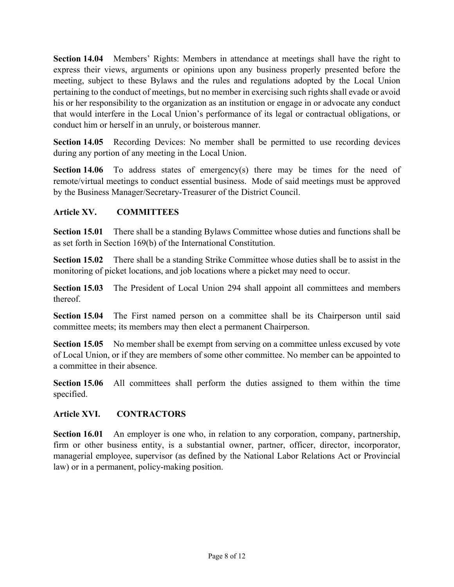**Section 14.04** Members' Rights: Members in attendance at meetings shall have the right to express their views, arguments or opinions upon any business properly presented before the meeting, subject to these Bylaws and the rules and regulations adopted by the Local Union pertaining to the conduct of meetings, but no member in exercising such rights shall evade or avoid his or her responsibility to the organization as an institution or engage in or advocate any conduct that would interfere in the Local Union's performance of its legal or contractual obligations, or conduct him or herself in an unruly, or boisterous manner.

**Section 14.05** Recording Devices: No member shall be permitted to use recording devices during any portion of any meeting in the Local Union.

**Section 14.06** To address states of emergency(s) there may be times for the need of remote/virtual meetings to conduct essential business. Mode of said meetings must be approved by the Business Manager/Secretary-Treasurer of the District Council.

#### **Article XV. COMMITTEES**

**Section 15.01** There shall be a standing Bylaws Committee whose duties and functions shall be as set forth in Section 169(b) of the International Constitution.

**Section 15.02** There shall be a standing Strike Committee whose duties shall be to assist in the monitoring of picket locations, and job locations where a picket may need to occur.

**Section 15.03** The President of Local Union 294 shall appoint all committees and members thereof.

**Section 15.04** The First named person on a committee shall be its Chairperson until said committee meets; its members may then elect a permanent Chairperson.

**Section 15.05** No member shall be exempt from serving on a committee unless excused by vote of Local Union, or if they are members of some other committee. No member can be appointed to a committee in their absence.

**Section 15.06** All committees shall perform the duties assigned to them within the time specified.

#### **Article XVI. CONTRACTORS**

**Section 16.01** An employer is one who, in relation to any corporation, company, partnership, firm or other business entity, is a substantial owner, partner, officer, director, incorporator, managerial employee, supervisor (as defined by the National Labor Relations Act or Provincial law) or in a permanent, policy-making position.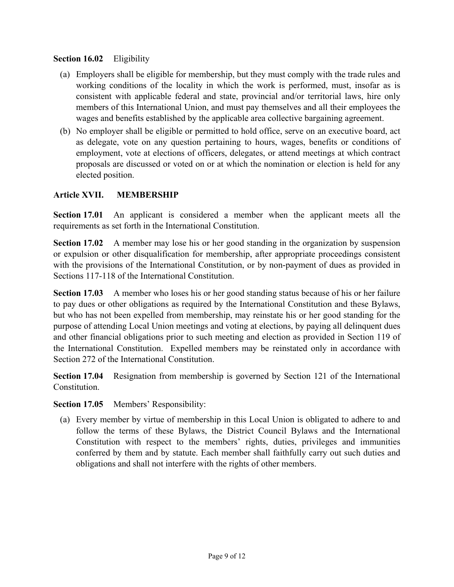#### **Section 16.02** Eligibility

- (a) Employers shall be eligible for membership, but they must comply with the trade rules and working conditions of the locality in which the work is performed, must, insofar as is consistent with applicable federal and state, provincial and/or territorial laws, hire only members of this International Union, and must pay themselves and all their employees the wages and benefits established by the applicable area collective bargaining agreement.
- (b) No employer shall be eligible or permitted to hold office, serve on an executive board, act as delegate, vote on any question pertaining to hours, wages, benefits or conditions of employment, vote at elections of officers, delegates, or attend meetings at which contract proposals are discussed or voted on or at which the nomination or election is held for any elected position.

#### **Article XVII. MEMBERSHIP**

**Section 17.01** An applicant is considered a member when the applicant meets all the requirements as set forth in the International Constitution.

**Section 17.02** A member may lose his or her good standing in the organization by suspension or expulsion or other disqualification for membership, after appropriate proceedings consistent with the provisions of the International Constitution, or by non-payment of dues as provided in Sections 117-118 of the International Constitution.

**Section 17.03** A member who loses his or her good standing status because of his or her failure to pay dues or other obligations as required by the International Constitution and these Bylaws, but who has not been expelled from membership, may reinstate his or her good standing for the purpose of attending Local Union meetings and voting at elections, by paying all delinquent dues and other financial obligations prior to such meeting and election as provided in Section 119 of the International Constitution. Expelled members may be reinstated only in accordance with Section 272 of the International Constitution.

**Section 17.04** Resignation from membership is governed by Section 121 of the International Constitution.

**Section 17.05** Members' Responsibility:

(a) Every member by virtue of membership in this Local Union is obligated to adhere to and follow the terms of these Bylaws, the District Council Bylaws and the International Constitution with respect to the members' rights, duties, privileges and immunities conferred by them and by statute. Each member shall faithfully carry out such duties and obligations and shall not interfere with the rights of other members.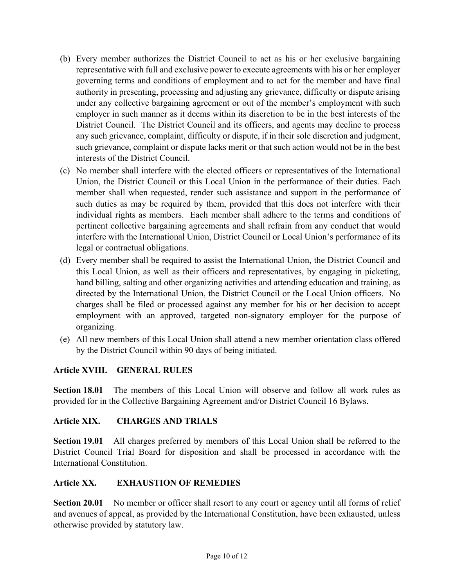- (b) Every member authorizes the District Council to act as his or her exclusive bargaining representative with full and exclusive power to execute agreements with his or her employer governing terms and conditions of employment and to act for the member and have final authority in presenting, processing and adjusting any grievance, difficulty or dispute arising under any collective bargaining agreement or out of the member's employment with such employer in such manner as it deems within its discretion to be in the best interests of the District Council. The District Council and its officers, and agents may decline to process any such grievance, complaint, difficulty or dispute, if in their sole discretion and judgment, such grievance, complaint or dispute lacks merit or that such action would not be in the best interests of the District Council.
- (c) No member shall interfere with the elected officers or representatives of the International Union, the District Council or this Local Union in the performance of their duties. Each member shall when requested, render such assistance and support in the performance of such duties as may be required by them, provided that this does not interfere with their individual rights as members. Each member shall adhere to the terms and conditions of pertinent collective bargaining agreements and shall refrain from any conduct that would interfere with the International Union, District Council or Local Union's performance of its legal or contractual obligations.
- (d) Every member shall be required to assist the International Union, the District Council and this Local Union, as well as their officers and representatives, by engaging in picketing, hand billing, salting and other organizing activities and attending education and training, as directed by the International Union, the District Council or the Local Union officers. No charges shall be filed or processed against any member for his or her decision to accept employment with an approved, targeted non-signatory employer for the purpose of organizing.
- (e) All new members of this Local Union shall attend a new member orientation class offered by the District Council within 90 days of being initiated.

#### **Article XVIII. GENERAL RULES**

**Section 18.01** The members of this Local Union will observe and follow all work rules as provided for in the Collective Bargaining Agreement and/or District Council 16 Bylaws.

#### **Article XIX. CHARGES AND TRIALS**

**Section 19.01** All charges preferred by members of this Local Union shall be referred to the District Council Trial Board for disposition and shall be processed in accordance with the International Constitution.

#### **Article XX. EXHAUSTION OF REMEDIES**

**Section 20.01** No member or officer shall resort to any court or agency until all forms of relief and avenues of appeal, as provided by the International Constitution, have been exhausted, unless otherwise provided by statutory law.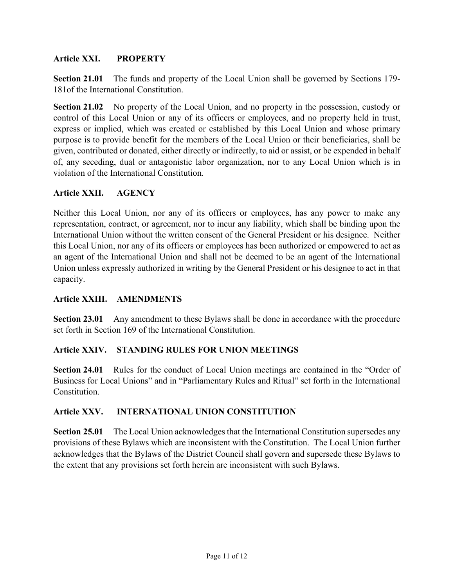#### **Article XXI. PROPERTY**

**Section 21.01** The funds and property of the Local Union shall be governed by Sections 179- 181of the International Constitution.

**Section 21.02** No property of the Local Union, and no property in the possession, custody or control of this Local Union or any of its officers or employees, and no property held in trust, express or implied, which was created or established by this Local Union and whose primary purpose is to provide benefit for the members of the Local Union or their beneficiaries, shall be given, contributed or donated, either directly or indirectly, to aid or assist, or be expended in behalf of, any seceding, dual or antagonistic labor organization, nor to any Local Union which is in violation of the International Constitution.

#### **Article XXII. AGENCY**

Neither this Local Union, nor any of its officers or employees, has any power to make any representation, contract, or agreement, nor to incur any liability, which shall be binding upon the International Union without the written consent of the General President or his designee. Neither this Local Union, nor any of its officers or employees has been authorized or empowered to act as an agent of the International Union and shall not be deemed to be an agent of the International Union unless expressly authorized in writing by the General President or his designee to act in that capacity.

#### **Article XXIII. AMENDMENTS**

**Section 23.01** Any amendment to these Bylaws shall be done in accordance with the procedure set forth in Section 169 of the International Constitution.

#### **Article XXIV. STANDING RULES FOR UNION MEETINGS**

**Section 24.01** Rules for the conduct of Local Union meetings are contained in the "Order of Business for Local Unions" and in "Parliamentary Rules and Ritual" set forth in the International Constitution.

#### **Article XXV. INTERNATIONAL UNION CONSTITUTION**

**Section 25.01** The Local Union acknowledges that the International Constitution supersedes any provisions of these Bylaws which are inconsistent with the Constitution. The Local Union further acknowledges that the Bylaws of the District Council shall govern and supersede these Bylaws to the extent that any provisions set forth herein are inconsistent with such Bylaws.